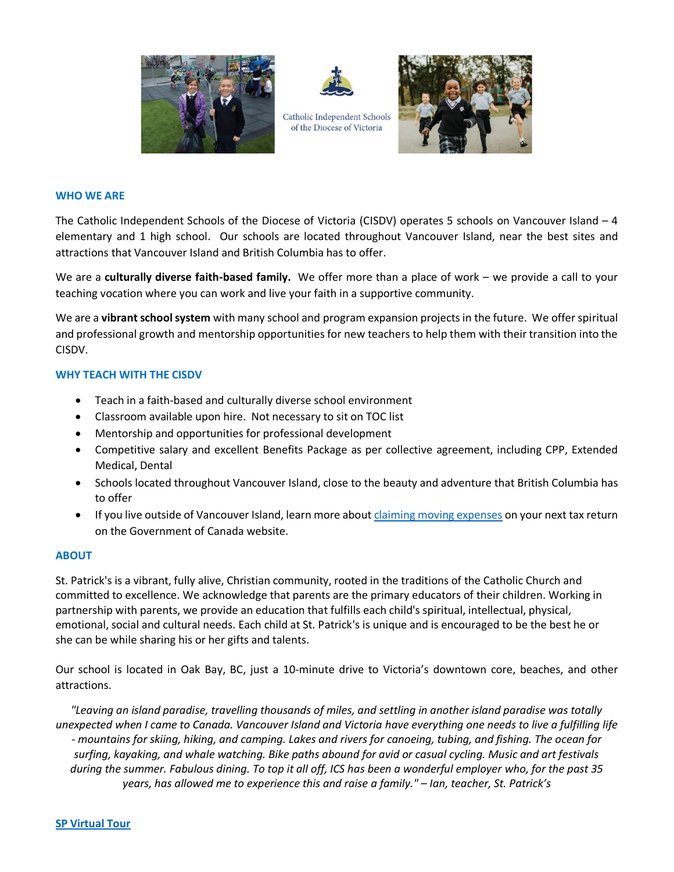



Catholic Independent Schools of the Diocese of Victoria



### **WHO WE ARE**

The Catholic Independent Schools of the Diocese of Victoria (CISDV) operates 5 schools on Vancouver Island – 4 elementary and 1 high school. Our schools are located throughout Vancouver Island, near the best sites and attractions that Vancouver Island and British Columbia has to offer.

We are a **culturally diverse faith-based family.** We offer more than a place of work – we provide a call to your teaching vocation where you can work and live your faith in a supportive community.

We are a **vibrant school system** with many school and program expansion projects in the future. We offer spiritual and professional growth and mentorship opportunities for new teachers to help them with their transition into the CISDV.

## **WHY TEACH WITH THE CISDV**

- Teach in a faith-based and culturally diverse school environment
- Classroom available upon hire. Not necessary to sit on TOC list
- Mentorship and opportunities for professional development
- Competitive salary and excellent Benefits Package as per collective agreement, including CPP, Extended Medical, Dental
- Schools located throughout Vancouver Island, close to the beauty and adventure that British Columbia has to offer
- If you live outside of Vancouver Island, learn more about [claiming moving expenses](https://www.canada.ca/en/revenue-agency/services/tax/individuals/topics/about-your-tax-return/tax-return/completing-a-tax-return/deductions-credits-expenses/line-21900-moving-expenses/you-claim-moving-expenses-12.html) on your next tax return on the Government of Canada website.

## **ABOUT**

St. Patrick's is a vibrant, fully alive, Christian community, rooted in the traditions of the Catholic Church and committed to excellence. We acknowledge that parents are the primary educators of their children. Working in partnership with parents, we provide an education that fulfills each child's spiritual, intellectual, physical, emotional, social and cultural needs. Each child at St. Patrick's is unique and is encouraged to be the best he or she can be while sharing his or her gifts and talents.

Our school is located in Oak Bay, BC, just a 10-minute drive to Victoria's downtown core, beaches, and other attractions.

*"Leaving an island paradise, travelling thousands of miles, and settling in another island paradise was totally unexpected when I came to Canada. Vancouver Island and Victoria have everything one needs to live a fulfilling life - mountains for skiing, hiking, and camping. Lakes and rivers for canoeing, tubing, and fishing. The ocean for surfing, kayaking, and whale watching. Bike paths abound for avid or casual cycling. Music and art festivals during the summer. Fabulous dining. To top it all off, ICS has been a wonderful employer who, for the past 35 years, has allowed me to experience this and raise a family." – Ian, teacher, St. Patrick's*